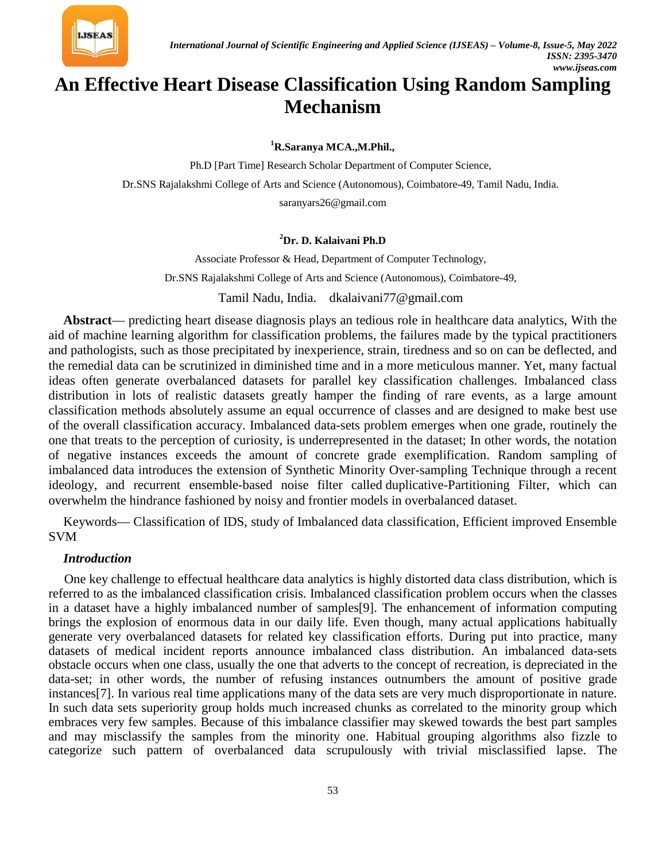

# **An Effective Heart Disease Classification Using Random Sampling Mechanism**

**1 R.Saranya MCA.,M.Phil.,**

Ph.D [Part Time] Research Scholar Department of Computer Science, Dr.SNS Rajalakshmi College of Arts and Science (Autonomous), Coimbatore-49, Tamil Nadu, India. [saranyars26@gmail.com](mailto:saranyars26@gmail.com)

#### **2 Dr. D. Kalaivani Ph.D**

Associate Professor & Head, Department of Computer Technology, Dr.SNS Rajalakshmi College of Arts and Science (Autonomous), Coimbatore-49, Tamil Nadu, India. [dkalaivani77@gmail.com](mailto:dkalaivani77@gmail.com)

**Abstract**— predicting heart disease diagnosis plays an tedious role in healthcare data analytics, With the aid of machine learning algorithm for classification problems, the failures made by the typical practitioners and pathologists, such as those precipitated by inexperience, strain, tiredness and so on can be deflected, and the remedial data can be scrutinized in diminished time and in a more meticulous manner. Yet, many factual ideas often generate overbalanced datasets for parallel key classification challenges. Imbalanced class distribution in lots of realistic datasets greatly hamper the finding of rare events, as a large amount classification methods absolutely assume an equal occurrence of classes and are designed to make best use of the overall classification accuracy. Imbalanced data-sets problem emerges when one grade, routinely the one that treats to the perception of curiosity, is underrepresented in the dataset; In other words, the notation of negative instances exceeds the amount of concrete grade exemplification. Random sampling of imbalanced data introduces the extension of Synthetic Minority Over-sampling Technique through a recent ideology, and recurrent ensemble-based noise filter called duplicative-Partitioning Filter, which can overwhelm the hindrance fashioned by noisy and frontier models in overbalanced dataset.

Keywords— Classification of IDS, study of Imbalanced data classification, Efficient improved Ensemble SVM

#### *Introduction*

One key challenge to effectual healthcare data analytics is highly distorted data class distribution, which is referred to as the imbalanced classification crisis. Imbalanced classification problem occurs when the classes in a dataset have a highly imbalanced number of samples[9]. The enhancement of information computing brings the explosion of enormous data in our daily life. Even though, many actual applications habitually generate very overbalanced datasets for related key classification efforts. During put into practice, many datasets of medical incident reports announce imbalanced class distribution. An imbalanced data-sets obstacle occurs when one class, usually the one that adverts to the concept of recreation, is depreciated in the data-set; in other words, the number of refusing instances outnumbers the amount of positive grade instances[7]. In various real time applications many of the data sets are very much disproportionate in nature. In such data sets superiority group holds much increased chunks as correlated to the minority group which embraces very few samples. Because of this imbalance classifier may skewed towards the best part samples and may misclassify the samples from the minority one. Habitual grouping algorithms also fizzle to categorize such pattern of overbalanced data scrupulously with trivial misclassified lapse. The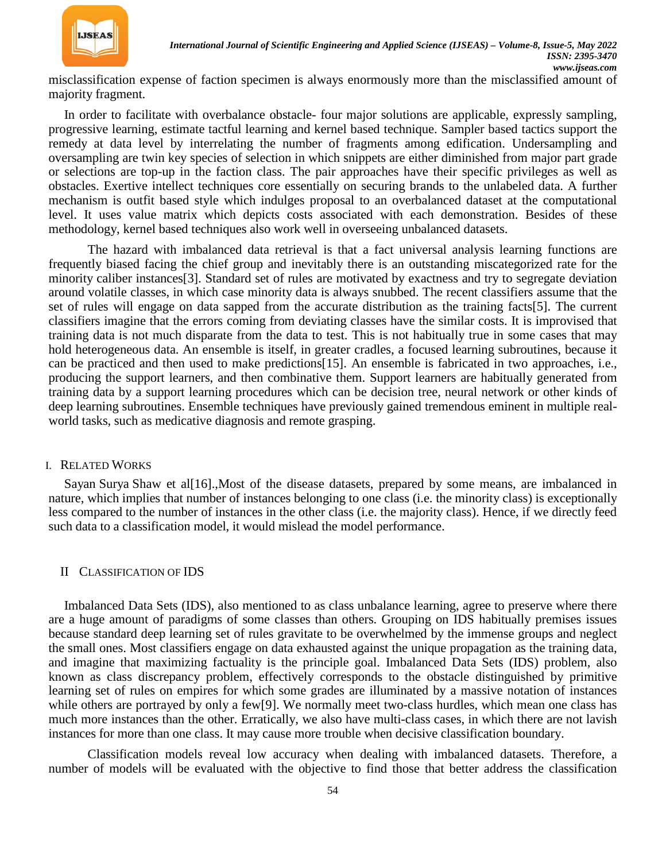

misclassification expense of faction specimen is always enormously more than the misclassified amount of majority fragment.

In order to facilitate with overbalance obstacle- four major solutions are applicable, expressly sampling, progressive learning, estimate tactful learning and kernel based technique. Sampler based tactics support the remedy at data level by interrelating the number of fragments among edification. Undersampling and oversampling are twin key species of selection in which snippets are either diminished from major part grade or selections are top-up in the faction class. The pair approaches have their specific privileges as well as obstacles. Exertive intellect techniques core essentially on securing brands to the unlabeled data. A further mechanism is outfit based style which indulges proposal to an overbalanced dataset at the computational level. It uses value matrix which depicts costs associated with each demonstration. Besides of these methodology, kernel based techniques also work well in overseeing unbalanced datasets.

The hazard with imbalanced data retrieval is that a fact universal analysis learning functions are frequently biased facing the chief group and inevitably there is an outstanding miscategorized rate for the minority caliber instances[3]. Standard set of rules are motivated by exactness and try to segregate deviation around volatile classes, in which case minority data is always snubbed. The recent classifiers assume that the set of rules will engage on data sapped from the accurate distribution as the training facts[5]. The current classifiers imagine that the errors coming from deviating classes have the similar costs. It is improvised that training data is not much disparate from the data to test. This is not habitually true in some cases that may hold heterogeneous data. An ensemble is itself, in greater cradles, a focused learning subroutines, because it can be practiced and then used to make predictions[15]. An ensemble is fabricated in two approaches, i.e., producing the support learners, and then combinative them. Support learners are habitually generated from training data by a support learning procedures which can be decision tree, neural network or other kinds of deep learning subroutines. Ensemble techniques have previously gained tremendous eminent in multiple realworld tasks, such as medicative diagnosis and remote grasping.

#### I. RELATED WORKS

Sayan Surya Shaw et al[16].,Most of the disease datasets, prepared by some means, are imbalanced in nature, which implies that number of instances belonging to one class (i.e. the minority class) is exceptionally less compared to the number of instances in the other class (i.e. the majority class). Hence, if we directly feed such data to a classification model, it would mislead the model performance.

#### II CLASSIFICATION OF IDS

Imbalanced Data Sets (IDS), also mentioned to as class unbalance learning, agree to preserve where there are a huge amount of paradigms of some classes than others. Grouping on IDS habitually premises issues because standard deep learning set of rules gravitate to be overwhelmed by the immense groups and neglect the small ones. Most classifiers engage on data exhausted against the unique propagation as the training data, and imagine that maximizing factuality is the principle goal. Imbalanced Data Sets (IDS) problem, also known as class discrepancy problem, effectively corresponds to the obstacle distinguished by primitive learning set of rules on empires for which some grades are illuminated by a massive notation of instances while others are portrayed by only a few[9]. We normally meet two-class hurdles, which mean one class has much more instances than the other. Erratically, we also have multi-class cases, in which there are not lavish instances for more than one class. It may cause more trouble when decisive classification boundary.

Classification models reveal low accuracy when dealing with imbalanced datasets. Therefore, a number of models will be evaluated with the objective to find those that better address the classification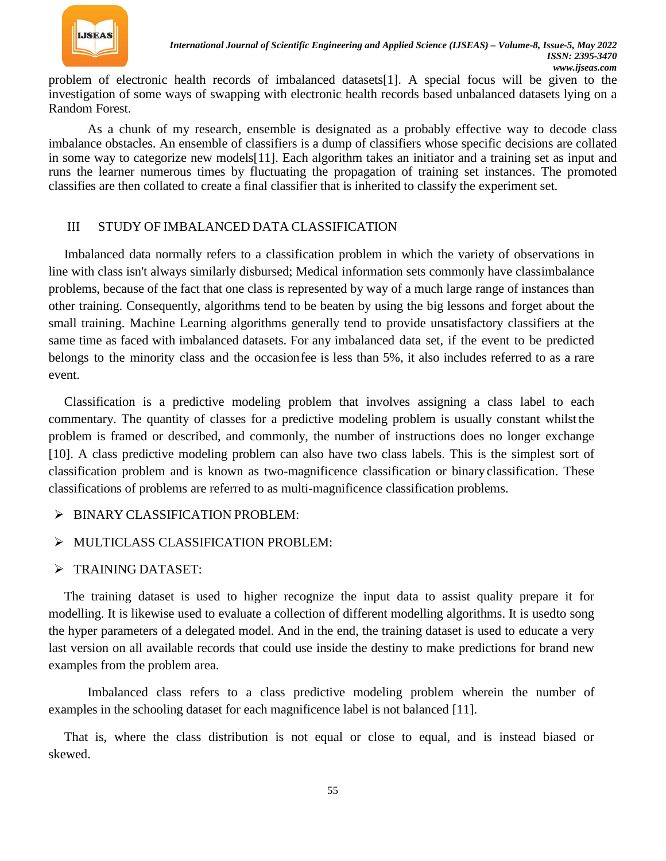

problem of electronic health records of imbalanced datasets[1]. A special focus will be given to the investigation of some ways of swapping with electronic health records based unbalanced datasets lying on a Random Forest.

As a chunk of my research, ensemble is designated as a probably effective way to decode class imbalance obstacles. An ensemble of classifiers is a dump of classifiers whose specific decisions are collated in some way to categorize new models[11]. Each algorithm takes an initiator and a training set as input and runs the learner numerous times by fluctuating the propagation of training set instances. The promoted classifies are then collated to create a final classifier that is inherited to classify the experiment set.

### III STUDY OF IMBALANCED DATA CLASSIFICATION

Imbalanced data normally refers to a classification problem in which the variety of observations in line with class isn't always similarly disbursed; Medical information sets commonly have classimbalance problems, because of the fact that one class is represented by way of a much large range of instances than other training. Consequently, algorithms tend to be beaten by using the big lessons and forget about the small training. Machine Learning algorithms generally tend to provide unsatisfactory classifiers at the same time as faced with imbalanced datasets. For any imbalanced data set, if the event to be predicted belongs to the minority class and the occasionfee is less than 5%, it also includes referred to as a rare event.

Classification is a predictive modeling problem that involves assigning a class label to each commentary. The quantity of classes for a predictive modeling problem is usually constant whilst the problem is framed or described, and commonly, the number of instructions does no longer exchange [10]. A class predictive modeling problem can also have two class labels. This is the simplest sort of classification problem and is known as two-magnificence classification or binary classification. These classifications of problems are referred to as multi-magnificence classification problems.

> BINARY CLASSIFICATION PROBLEM:

### MULTICLASS CLASSIFICATION PROBLEM:

> TRAINING DATASET:

The training dataset is used to higher recognize the input data to assist quality prepare it for modelling. It is likewise used to evaluate a collection of different modelling algorithms. It is usedto song the hyper parameters of a delegated model. And in the end, the training dataset is used to educate a very last version on all available records that could use inside the destiny to make predictions for brand new examples from the problem area.

Imbalanced class refers to a class predictive modeling problem wherein the number of examples in the schooling dataset for each magnificence label is not balanced [11].

That is, where the class distribution is not equal or close to equal, and is instead biased or skewed.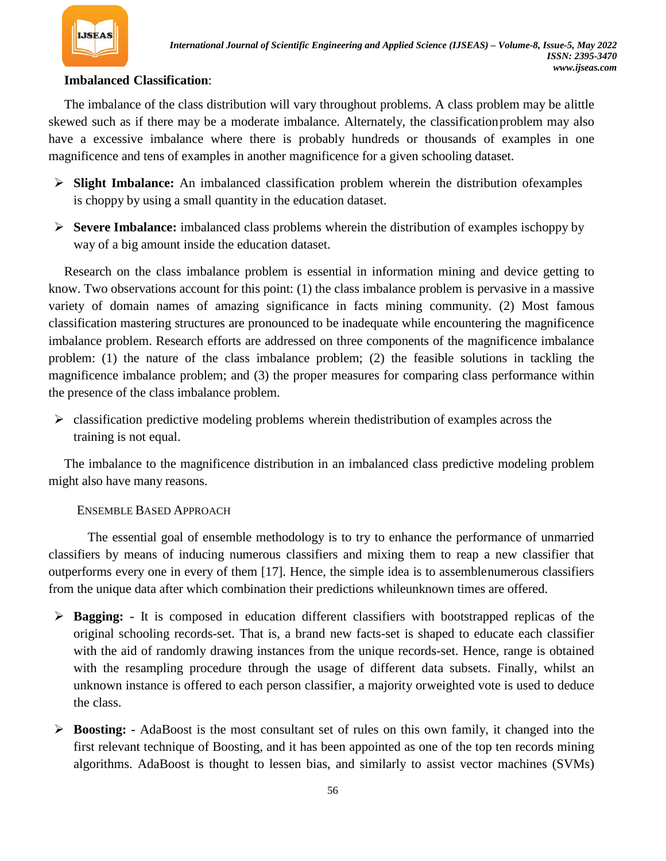

## **Imbalanced Classification**:

The imbalance of the class distribution will vary throughout problems. A class problem may be alittle skewed such as if there may be a moderate imbalance. Alternately, the classificationproblem may also have a excessive imbalance where there is probably hundreds or thousands of examples in one magnificence and tens of examples in another magnificence for a given schooling dataset.

- **Slight Imbalance:** An imbalanced classification problem wherein the distribution ofexamples is choppy by using a small quantity in the education dataset.
- **Severe Imbalance:** imbalanced class problems wherein the distribution of examples ischoppy by way of a big amount inside the education dataset.

Research on the class imbalance problem is essential in information mining and device getting to know. Two observations account for this point: (1) the class imbalance problem is pervasive in a massive variety of domain names of amazing significance in facts mining community. (2) Most famous classification mastering structures are pronounced to be inadequate while encountering the magnificence imbalance problem. Research efforts are addressed on three components of the magnificence imbalance problem: (1) the nature of the class imbalance problem; (2) the feasible solutions in tackling the magnificence imbalance problem; and (3) the proper measures for comparing class performance within the presence of the class imbalance problem.

 $\triangleright$  classification predictive modeling problems wherein the distribution of examples across the training is not equal.

The imbalance to the magnificence distribution in an imbalanced class predictive modeling problem might also have many reasons.

### ENSEMBLE BASED APPROACH

The essential goal of ensemble methodology is to try to enhance the performance of unmarried classifiers by means of inducing numerous classifiers and mixing them to reap a new classifier that outperforms every one in every of them [17]. Hence, the simple idea is to assemblenumerous classifiers from the unique data after which combination their predictions whileunknown times are offered.

- **Bagging: -** It is composed in education different classifiers with bootstrapped replicas of the original schooling records-set. That is, a brand new facts-set is shaped to educate each classifier with the aid of randomly drawing instances from the unique records-set. Hence, range is obtained with the resampling procedure through the usage of different data subsets. Finally, whilst an unknown instance is offered to each person classifier, a majority orweighted vote is used to deduce the class.
- **Boosting: -** AdaBoost is the most consultant set of rules on this own family, it changed into the first relevant technique of Boosting, and it has been appointed as one of the top ten records mining algorithms. AdaBoost is thought to lessen bias, and similarly to assist vector machines (SVMs)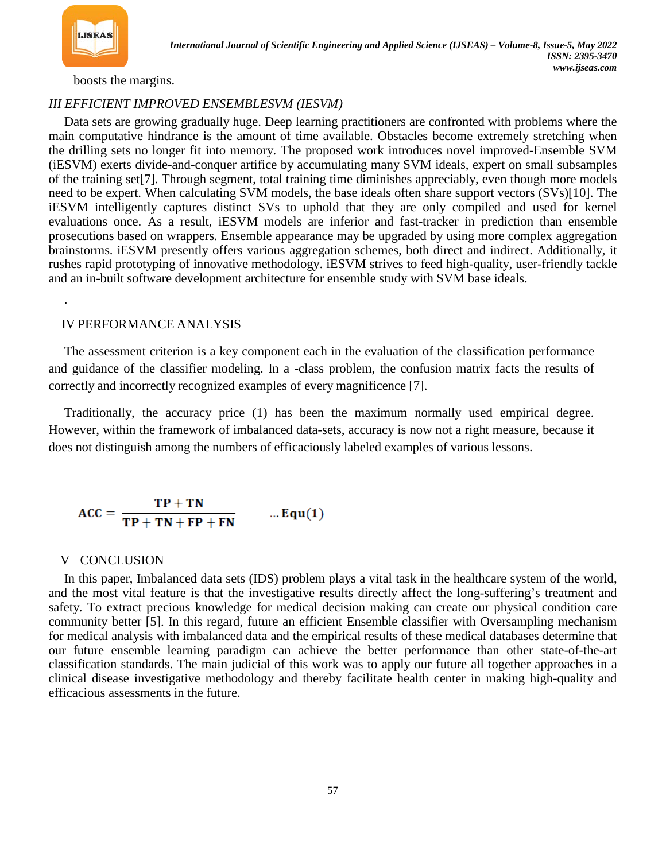

.

boosts the margins.

### *III EFFICIENT IMPROVED ENSEMBLESVM (IESVM)*

Data sets are growing gradually huge. Deep learning practitioners are confronted with problems where the main computative hindrance is the amount of time available. Obstacles become extremely stretching when the drilling sets no longer fit into memory. The proposed work introduces novel improved-Ensemble SVM (iESVM) exerts divide-and-conquer artifice by accumulating many SVM ideals, expert on small subsamples of the training set[7]. Through segment, total training time diminishes appreciably, even though more models need to be expert. When calculating SVM models, the base ideals often share support vectors (SVs)[10]. The iESVM intelligently captures distinct SVs to uphold that they are only compiled and used for kernel evaluations once. As a result, iESVM models are inferior and fast-tracker in prediction than ensemble prosecutions based on wrappers. Ensemble appearance may be upgraded by using more complex aggregation brainstorms. iESVM presently offers various aggregation schemes, both direct and indirect. Additionally, it rushes rapid prototyping of innovative methodology. iESVM strives to feed high-quality, user-friendly tackle and an in-built software development architecture for ensemble study with SVM base ideals.

### IV PERFORMANCE ANALYSIS

The assessment criterion is a key component each in the evaluation of the classification performance and guidance of the classifier modeling. In a -class problem, the confusion matrix facts the results of correctly and incorrectly recognized examples of every magnificence [7].

Traditionally, the accuracy price (1) has been the maximum normally used empirical degree. However, within the framework of imbalanced data-sets, accuracy is now not a right measure, because it does not distinguish among the numbers of efficaciously labeled examples of various lessons.

$$
ACC = \frac{TP + TN}{TP + TN + FP + FN} \qquad ... Equ(1)
$$

### V CONCLUSION

In this paper, Imbalanced data sets (IDS) problem plays a vital task in the healthcare system of the world, and the most vital feature is that the investigative results directly affect the long-suffering's treatment and safety. To extract precious knowledge for medical decision making can create our physical condition care community better [5]. In this regard, future an efficient Ensemble classifier with Oversampling mechanism for medical analysis with imbalanced data and the empirical results of these medical databases determine that our future ensemble learning paradigm can achieve the better performance than other state-of-the-art classification standards. The main judicial of this work was to apply our future all together approaches in a clinical disease investigative methodology and thereby facilitate health center in making high-quality and efficacious assessments in the future.